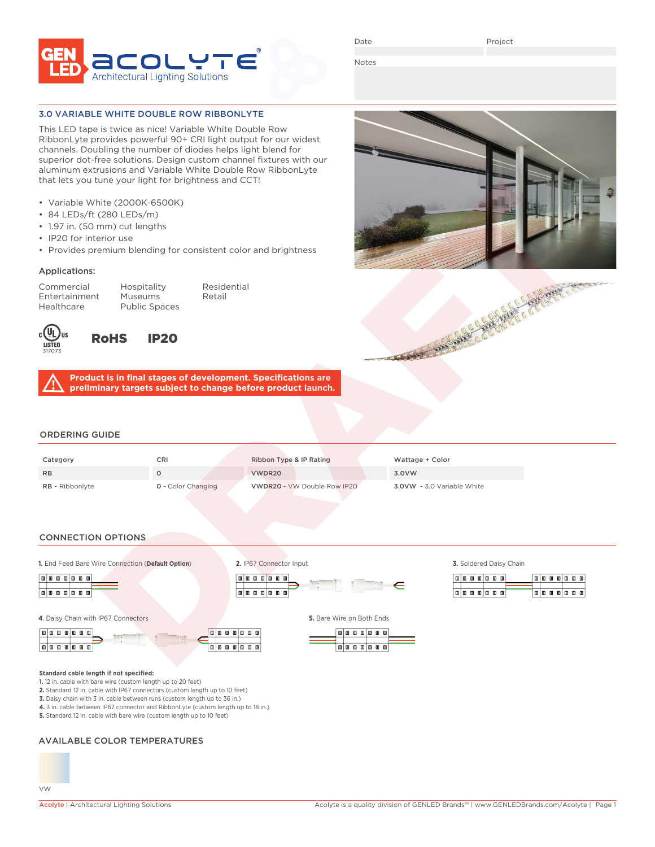

Date

Project

Notes

# 3.0 VARIABLE WHITE DOUBLE ROW RIBBONLYTE

This LED tape is twice as nice! Variable White Double Row RibbonLyte provides powerful 90+ CRI light output for our widest channels. Doubling the number of diodes helps light blend for superior dot-free solutions. Design custom channel fixtures with our aluminum extrusions and Variable White Double Row RibbonLyte that lets you tune your light for brightness and CCT!

- Variable White (2000K-6500K)
- 84 LEDs/ft (280 LEDs/m)
- 1.97 in. (50 mm) cut lengths
- IP20 for interior use
- Provides premium blending for consistent color and brightness

### Applications:

Entertainment Museums Retail Healthcare Public Spaces

Commercial Hospitality Residential



RoHS IP20

**Product is in final stages of development. Specifications are preliminary targets subject to change before product launch.**

## ORDERING GUIDE

| Category               | CRI                       | Ribbon Type & IP Rating     | Wattage + Color                   |
|------------------------|---------------------------|-----------------------------|-----------------------------------|
| <b>RB</b>              |                           | VWDR20                      | 3.0VW                             |
| <b>RB</b> - Ribbonlyte | <b>0</b> - Color Changing | VWDR20 - VW Double Row IP20 | <b>3.0VW</b> - 3.0 Variable White |

### CONNECTION OPTIONS

**1.** End Feed Bare Wire Connection (**Default Option**) **3.** Soldered Daisy Chain



**4**. Daisy Chain with IP67 Connectors **5.** Bare Wire on Both Ends

**Standard cable length if not specified:**





**2.** IP67 Connector Input

**Tata a a** a a a



 $\mathbb{I} \in$ 

|  |  | . |  |    |   |    |   | πI |
|--|--|---|--|----|---|----|---|----|
|  |  |   |  |    |   |    |   |    |
|  |  | . |  | 回回 | ш | 面旧 | 口 | ▥  |

AVAILABLE COLOR TEMPERATURES

**1.** 12 in. cable with bare wire (custom length up to 20 feet)

**2.** Standard 12 in. cable with IP67 connectors (custom length up to 10 feet) **3.** Daisy chain with 3 in. cable between runs (custom length up to 36 in.) **4.** 3 in. cable between IP67 connector and RibbonLyte (custom length up to 18 in.)

**5.** Standard 12 in. cable with bare wire (custom length up to 10 feet)



A BAR A BAR A BAR AND C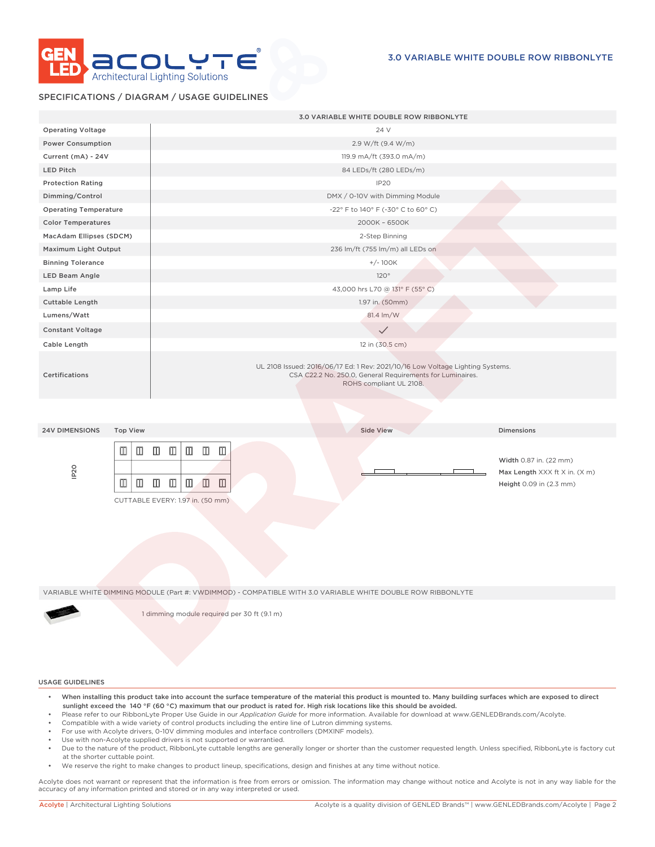

## SPECIFICATIONS / DIAGRAM / USAGE GUIDELINES

|                                                        | 3.0 VARIABLE WHITE DOUBLE ROW RIBBONLYTE                                                                                                                                |                                                                                    |
|--------------------------------------------------------|-------------------------------------------------------------------------------------------------------------------------------------------------------------------------|------------------------------------------------------------------------------------|
| <b>Operating Voltage</b>                               | 24 V                                                                                                                                                                    |                                                                                    |
| Power Consumption                                      | 2.9 W/ft (9.4 W/m)                                                                                                                                                      |                                                                                    |
| Current (mA) - 24V                                     | 119.9 mA/ft (393.0 mA/m)                                                                                                                                                |                                                                                    |
| <b>LED Pitch</b>                                       | 84 LEDs/ft (280 LEDs/m)                                                                                                                                                 |                                                                                    |
| <b>Protection Rating</b>                               | IP <sub>20</sub>                                                                                                                                                        |                                                                                    |
| Dimming/Control                                        | DMX / 0-10V with Dimming Module                                                                                                                                         |                                                                                    |
| <b>Operating Temperature</b>                           | -22° F to 140° F (-30° C to 60° C)                                                                                                                                      |                                                                                    |
| <b>Color Temperatures</b>                              | 2000K - 6500K                                                                                                                                                           |                                                                                    |
| MacAdam Ellipses (SDCM)                                | 2-Step Binning                                                                                                                                                          |                                                                                    |
| Maximum Light Output                                   | 236 lm/ft (755 lm/m) all LEDs on                                                                                                                                        |                                                                                    |
| <b>Binning Tolerance</b>                               | $+/-100K$                                                                                                                                                               |                                                                                    |
| LED Beam Angle                                         | 120°                                                                                                                                                                    |                                                                                    |
| Lamp Life                                              | 43,000 hrs L70 @ 131° F (55° C)                                                                                                                                         |                                                                                    |
| Cuttable Length                                        | 1.97 in. (50mm)                                                                                                                                                         |                                                                                    |
| Lumens/Watt                                            | 81.4 lm/W                                                                                                                                                               |                                                                                    |
| <b>Constant Voltage</b>                                | $\checkmark$                                                                                                                                                            |                                                                                    |
| Cable Length                                           | 12 in (30.5 cm)                                                                                                                                                         |                                                                                    |
| Certifications                                         | UL 2108 Issued: 2016/06/17 Ed: 1 Rev: 2021/10/16 Low Voltage Lighting Systems.<br>CSA C22.2 No. 250.0, General Requirements for Luminaires.<br>ROHS compliant UL 2108.  |                                                                                    |
|                                                        |                                                                                                                                                                         |                                                                                    |
| <b>24V DIMENSIONS</b><br><b>Top View</b>               | <b>Side View</b>                                                                                                                                                        | <b>Dimensions</b>                                                                  |
| ◫<br>◫<br>IP <sub>20</sub><br>$\blacksquare$<br>$\Box$ | $\square$<br>$\mathbb I$<br>$\mathbb I$<br>$\Box$<br>$\mathbb I$<br>$\Box$<br>$\Box$<br>$\blacksquare$<br>$\hfill\blacksquare$<br>m<br>CUTTABLE EVERY: 1.97 in. (50 mm) | Width 0.87 in. (22 mm)<br>Max Length XXX ft X in. (X m)<br>Height 0.09 in (2.3 mm) |
|                                                        | VARIABLE WHITE DIMMING MODULE (Part #: VWDIMMOD) - COMPATIBLE WITH 3.0 VARIABLE WHITE DOUBLE ROW RIBBONLYTE                                                             |                                                                                    |
|                                                        |                                                                                                                                                                         |                                                                                    |
|                                                        | 1 dimming module required per 30 ft (9.1 m)                                                                                                                             |                                                                                    |

#### USAGE GUIDELINES

- When installing this product take into account the surface temperature of the material this product is mounted to. Many building surfaces which are exposed to direct sunlight exceed the 140 °F (60 °C) maximum that our product is rated for. High risk locations like this should be avoided.
- Please refer to our RibbonLyte Proper Use Guide in our *Application Guide* for more information. Available for download at www.GENLEDBrands.com/Acolyte.
- Compatible with a wide variety of control products including the entire line of Lutron dimming systems.
- For use with Acolyte drivers, 0-10V dimming modules and interface controllers (DMXINF models).
- Use with non-Acolyte supplied drivers is not supported or warrantied.
- Due to the nature of the product, RibbonLyte cuttable lengths are generally longer or shorter than the customer requested length. Unless specified, RibbonLyte is factory cut at the shorter cuttable point.
- We reserve the right to make changes to product lineup, specifications, design and finishes at any time without notice.

Acolyte does not warrant or represent that the information is free from errors or omission. The information may change without notice and Acolyte is not in any way liable for the accuracy of any information printed and stored or in any way interpreted or used.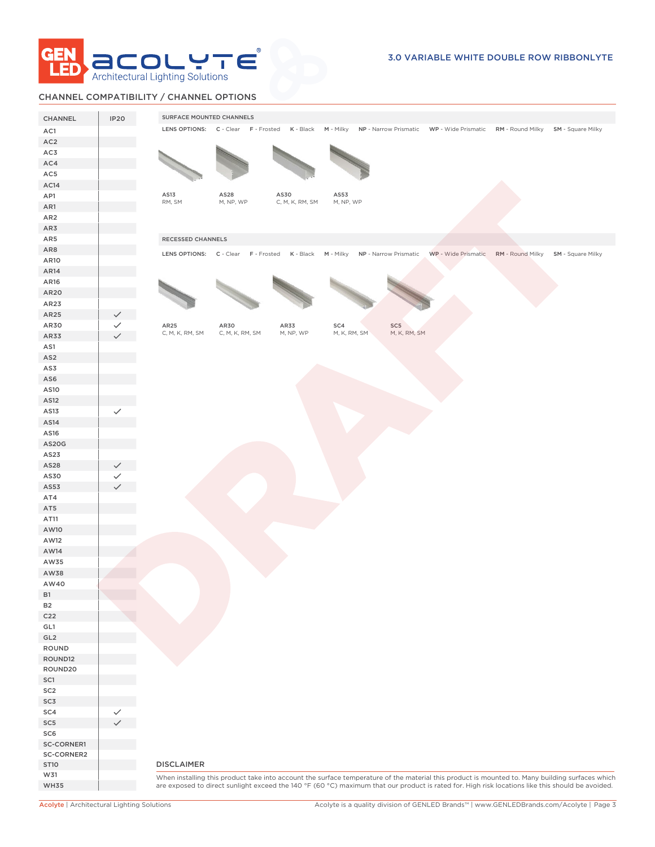

# CHANNEL COMPATIBILITY / CHANNEL OPTIONS

| CHANNEL                  | <b>IP20</b>  | SURFACE MOUNTED CHANNELS                                                                                                                        |
|--------------------------|--------------|-------------------------------------------------------------------------------------------------------------------------------------------------|
| AC1                      |              | LENS OPTIONS: C - Clear F - Frosted K - Black M - Milky NP - Narrow Prismatic WP - Wide Prismatic RM - Round Milky SM - Square Milky            |
| AC <sub>2</sub>          |              |                                                                                                                                                 |
| AC3                      |              |                                                                                                                                                 |
| AC4                      |              |                                                                                                                                                 |
| AC5                      |              |                                                                                                                                                 |
| AC14                     |              |                                                                                                                                                 |
| AP1                      |              | AS13<br>AS28<br>AS30<br>AS53                                                                                                                    |
| AR1                      |              | RM, SM<br>M, NP, WP<br>C, M, K, RM, SM<br>M, NP, WP                                                                                             |
| AR <sub>2</sub>          |              |                                                                                                                                                 |
| AR3                      |              |                                                                                                                                                 |
| AR5                      |              | RECESSED CHANNELS                                                                                                                               |
| AR8                      |              |                                                                                                                                                 |
| AR10                     |              | LENS OPTIONS: C - Clear F - Frosted K - Black M - Milky NP - Narrow Prismatic WP - Wide Prismatic RM - Round Milky SM - Square Milky            |
| AR14                     |              |                                                                                                                                                 |
| AR16                     |              |                                                                                                                                                 |
| AR20                     |              |                                                                                                                                                 |
| AR23                     |              |                                                                                                                                                 |
| AR25                     |              |                                                                                                                                                 |
| AR30                     |              | AR25<br>AR30<br>AR33<br>SC4<br>SC5                                                                                                              |
| AR33                     |              | M, K, RM, SM<br>M, K, RM, SM<br>C, M, K, RM, SM<br>C, M, K, RM, SM<br>M, NP, WP                                                                 |
| AS1                      |              |                                                                                                                                                 |
| AS <sub>2</sub>          |              |                                                                                                                                                 |
| AS3                      |              |                                                                                                                                                 |
| AS6                      |              |                                                                                                                                                 |
| AS10                     |              |                                                                                                                                                 |
| AS12                     |              |                                                                                                                                                 |
| AS13                     | $\checkmark$ |                                                                                                                                                 |
| AS14                     |              |                                                                                                                                                 |
| AS16                     |              |                                                                                                                                                 |
| AS20G                    |              |                                                                                                                                                 |
| AS23                     |              |                                                                                                                                                 |
| AS28                     |              |                                                                                                                                                 |
| AS30                     |              |                                                                                                                                                 |
| AS53                     |              |                                                                                                                                                 |
| AT4                      |              |                                                                                                                                                 |
| AT5                      |              |                                                                                                                                                 |
| AT11                     |              |                                                                                                                                                 |
| AW10                     |              |                                                                                                                                                 |
| AW12                     |              |                                                                                                                                                 |
| AW14                     |              |                                                                                                                                                 |
| AW35                     |              |                                                                                                                                                 |
| AW38                     |              |                                                                                                                                                 |
| AW40                     |              |                                                                                                                                                 |
| <b>B1</b>                |              |                                                                                                                                                 |
| <b>B2</b>                |              |                                                                                                                                                 |
| C <sub>22</sub>          |              |                                                                                                                                                 |
| GL1                      |              |                                                                                                                                                 |
| GL <sub>2</sub>          |              |                                                                                                                                                 |
| ROUND                    |              |                                                                                                                                                 |
| ROUND12                  |              |                                                                                                                                                 |
| ROUND20                  |              |                                                                                                                                                 |
| SC1                      |              |                                                                                                                                                 |
| SC <sub>2</sub>          |              |                                                                                                                                                 |
| SC3                      |              |                                                                                                                                                 |
| SC4                      |              |                                                                                                                                                 |
|                          |              |                                                                                                                                                 |
| SC <sub>5</sub>          |              |                                                                                                                                                 |
|                          |              |                                                                                                                                                 |
| SC <sub>6</sub>          |              |                                                                                                                                                 |
| SC-CORNER1<br>SC-CORNER2 |              |                                                                                                                                                 |
| <b>ST10</b>              |              | <b>DISCLAIMER</b>                                                                                                                               |
| W31                      |              | When installing this product take into account the surface temperature of the material this product is mounted to. Many building surfaces which |